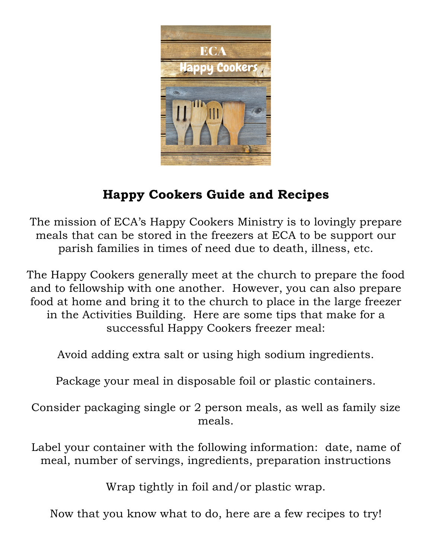

# **Happy Cookers Guide and Recipes**

The mission of ECA's Happy Cookers Ministry is to lovingly prepare meals that can be stored in the freezers at ECA to be support our parish families in times of need due to death, illness, etc.

The Happy Cookers generally meet at the church to prepare the food and to fellowship with one another. However, you can also prepare food at home and bring it to the church to place in the large freezer in the Activities Building. Here are some tips that make for a successful Happy Cookers freezer meal:

Avoid adding extra salt or using high sodium ingredients.

Package your meal in disposable foil or plastic containers.

Consider packaging single or 2 person meals, as well as family size meals.

Label your container with the following information: date, name of meal, number of servings, ingredients, preparation instructions

Wrap tightly in foil and/or plastic wrap.

Now that you know what to do, here are a few recipes to try!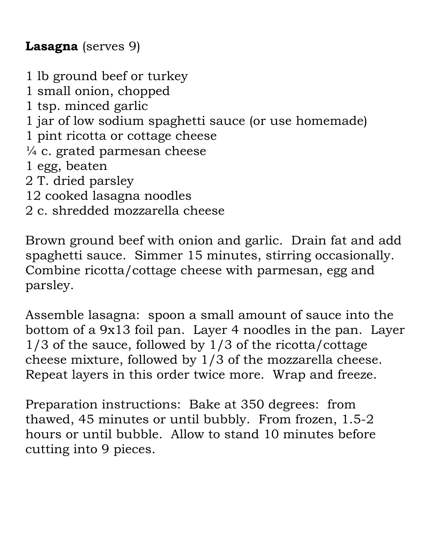### **Lasagna** (serves 9)

1 lb ground beef or turkey 1 small onion, chopped 1 tsp. minced garlic 1 jar of low sodium spaghetti sauce (or use homemade) 1 pint ricotta or cottage cheese  $\frac{1}{4}$  c. grated parmesan cheese 1 egg, beaten 2 T. dried parsley 12 cooked lasagna noodles 2 c. shredded mozzarella cheese

Brown ground beef with onion and garlic. Drain fat and add spaghetti sauce. Simmer 15 minutes, stirring occasionally. Combine ricotta/cottage cheese with parmesan, egg and parsley.

Assemble lasagna: spoon a small amount of sauce into the bottom of a 9x13 foil pan. Layer 4 noodles in the pan. Layer 1/3 of the sauce, followed by 1/3 of the ricotta/cottage cheese mixture, followed by 1/3 of the mozzarella cheese. Repeat layers in this order twice more. Wrap and freeze.

Preparation instructions: Bake at 350 degrees: from thawed, 45 minutes or until bubbly. From frozen, 1.5-2 hours or until bubble. Allow to stand 10 minutes before cutting into 9 pieces.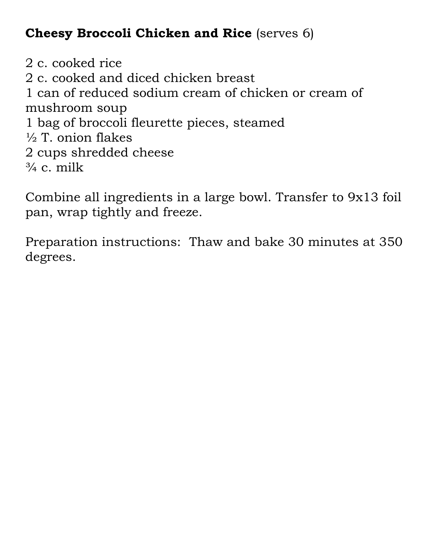## **Cheesy Broccoli Chicken and Rice** (serves 6)

2 c. cooked rice 2 c. cooked and diced chicken breast 1 can of reduced sodium cream of chicken or cream of mushroom soup 1 bag of broccoli fleurette pieces, steamed  $\frac{1}{2}$  T. onion flakes 2 cups shredded cheese  $\frac{3}{4}$  c. milk

Combine all ingredients in a large bowl. Transfer to 9x13 foil pan, wrap tightly and freeze.

Preparation instructions: Thaw and bake 30 minutes at 350 degrees.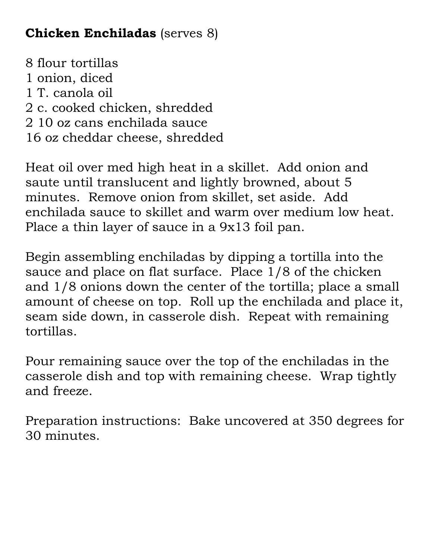### **Chicken Enchiladas** (serves 8)

8 flour tortillas 1 onion, diced 1 T. canola oil 2 c. cooked chicken, shredded 2 10 oz cans enchilada sauce 16 oz cheddar cheese, shredded

Heat oil over med high heat in a skillet. Add onion and saute until translucent and lightly browned, about 5 minutes. Remove onion from skillet, set aside. Add enchilada sauce to skillet and warm over medium low heat. Place a thin layer of sauce in a 9x13 foil pan.

Begin assembling enchiladas by dipping a tortilla into the sauce and place on flat surface. Place 1/8 of the chicken and 1/8 onions down the center of the tortilla; place a small amount of cheese on top. Roll up the enchilada and place it, seam side down, in casserole dish. Repeat with remaining tortillas.

Pour remaining sauce over the top of the enchiladas in the casserole dish and top with remaining cheese. Wrap tightly and freeze.

Preparation instructions: Bake uncovered at 350 degrees for 30 minutes.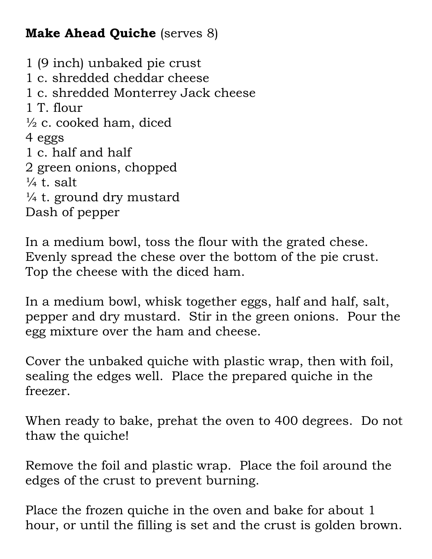## **Make Ahead Quiche** (serves 8)

1 (9 inch) unbaked pie crust 1 c. shredded cheddar cheese 1 c. shredded Monterrey Jack cheese 1 T. flour  $\frac{1}{2}$  c. cooked ham, diced 4 eggs 1 c. half and half 2 green onions, chopped  $\frac{1}{4}$  t. salt  $\frac{1}{4}$  t. ground dry mustard Dash of pepper

In a medium bowl, toss the flour with the grated chese. Evenly spread the chese over the bottom of the pie crust. Top the cheese with the diced ham.

In a medium bowl, whisk together eggs, half and half, salt, pepper and dry mustard. Stir in the green onions. Pour the egg mixture over the ham and cheese.

Cover the unbaked quiche with plastic wrap, then with foil, sealing the edges well. Place the prepared quiche in the freezer.

When ready to bake, prehat the oven to 400 degrees. Do not thaw the quiche!

Remove the foil and plastic wrap. Place the foil around the edges of the crust to prevent burning.

Place the frozen quiche in the oven and bake for about 1 hour, or until the filling is set and the crust is golden brown.